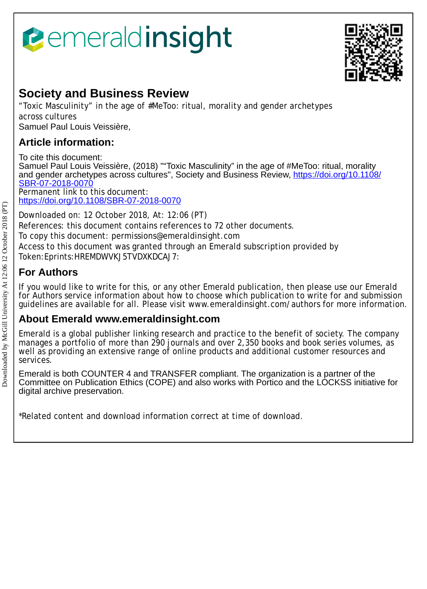# *<u><b>e*emeraldinsight</u>



## **Society and Business Review**

"Toxic Masculinity" in the age of #MeToo: ritual, morality and gender archetypes across cultures Samuel Paul Louis Veissière,

## **Article information:**

To cite this document: Samuel Paul Louis Veissière, (2018) ""Toxic Masculinity" in the age of #MeToo: ritual, morality and gender archetypes across cultures", Society and Business Review, [https://doi.org/10.1108/](https://doi.org/10.1108/SBR-07-2018-0070) [SBR-07-2018-0070](https://doi.org/10.1108/SBR-07-2018-0070) Permanent link to this document: <https://doi.org/10.1108/SBR-07-2018-0070>

Downloaded on: 12 October 2018, At: 12:06 (PT) References: this document contains references to 72 other documents. To copy this document: permissions@emeraldinsight.com Access to this document was granted through an Emerald subscription provided by Token:Eprints:HREMDWVKJ5TVDXKDCAJ7:

## **For Authors**

If you would like to write for this, or any other Emerald publication, then please use our Emerald for Authors service information about how to choose which publication to write for and submission guidelines are available for all. Please visit www.emeraldinsight.com/authors for more information.

## **About Emerald www.emeraldinsight.com**

Emerald is a global publisher linking research and practice to the benefit of society. The company manages a portfolio of more than 290 journals and over 2,350 books and book series volumes, as well as providing an extensive range of online products and additional customer resources and services.

Emerald is both COUNTER 4 and TRANSFER compliant. The organization is a partner of the Committee on Publication Ethics (COPE) and also works with Portico and the LOCKSS initiative for digital archive preservation.

\*Related content and download information correct at time of download.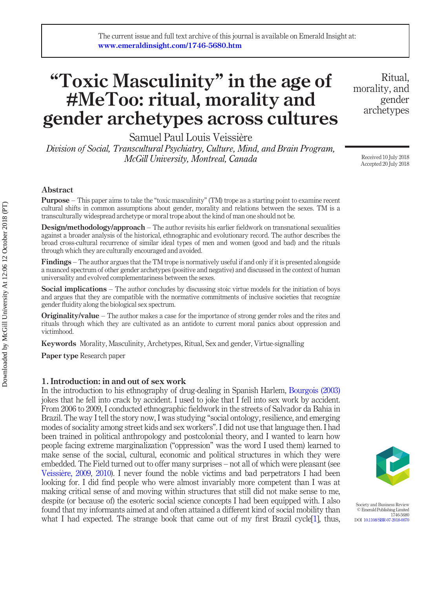## "Toxic Masculinity" in the age of #MeToo: ritual, morality and gender archetypes across cultures

Samuel Paul Louis Veissière

Division of Social, Transcultural Psychiatry, Culture, Mind, and Brain Program, McGill University, Montreal, Canada

#### Abstract

Purpose – This paper aims to take the "toxic masculinity" (TM) trope as a starting point to examine recent cultural shifts in common assumptions about gender, morality and relations between the sexes. TM is a transculturally widespread archetype or moral trope about the kind of man one should not be.

**Design/methodology/approach** – The author revisits his earlier fieldwork on transnational sexualities against a broader analysis of the historical, ethnographic and evolutionary record. The author describes the broad cross-cultural recurrence of similar ideal types of men and women (good and bad) and the rituals through which they are culturally encouraged and avoided.

Findings – The author argues that the TM trope is normatively useful if and only if it is presented alongside a nuanced spectrum of other gender archetypes (positive and negative) and discussed in the context of human universality and evolved complementariness between the sexes.

**Social implications** – The author concludes by discussing stoic virtue models for the initiation of boys and argues that they are compatible with the normative commitments of inclusive societies that recognize gender fluidity along the biological sex spectrum.

**Originality/value** – The author makes a case for the importance of strong gender roles and the rites and rituals through which they are cultivated as an antidote to current moral panics about oppression and victimhood.

Keywords Morality, Masculinity, Archetypes, Ritual, Sex and gender, Virtue-signalling

Paper type Research paper

#### 1. Introduction: in and out of sex work

In the introduction to his ethnography of drug-dealing in Spanish Harlem, [Bourgois \(2003\)](#page-10-0) jokes that he fell into crack by accident. I used to joke that I fell into sex work by accident. From 2006 to 2009, I conducted ethnographic fieldwork in the streets of Salvador da Bahia in Brazil. The way I tell the story now, I was studying "social ontology, resilience, and emerging modes of sociality among street kids and sex workers". I did not use that language then. I had been trained in political anthropology and postcolonial theory, and I wanted to learn how people facing extreme marginalization ("oppression" was the word I used them) learned to make sense of the social, cultural, economic and political structures in which they were embedded. The Field turned out to offer many surprises – not all of which were pleasant (see [Veissière, 2009,](#page-13-0) [2010](#page-13-1)). I never found the noble victims and bad perpetrators I had been looking for. I did find people who were almost invariably more competent than I was at making critical sense of and moving within structures that still did not make sense to me, despite (or because of) the esoteric social science concepts I had been equipped with. I also found that my informants aimed at and often attained a different kind of social mobility than what I had expected. The strange book that came out of my first Brazil cycle[\[1](#page-10-1)], thus,



Society and Business Review © Emerald Publishing Limited 1746-5680 DOI [10.1108/SBR-07-2018-0070](http://dx.doi.org/10.1108/SBR-07-2018-0070)

Received 10 July 2018 Accepted 20 July 2018

Ritual,

gender archetypes

morality, and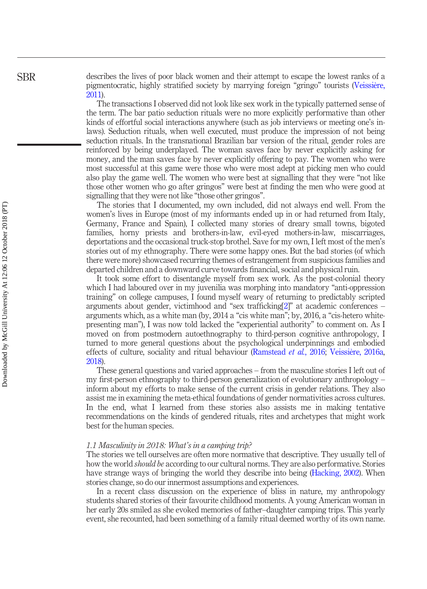describes the lives of poor black women and their attempt to escape the lowest ranks of a pigmentocratic, highly stratified society by marrying foreign "gringo" tourists [\(Veissière,](#page-13-2) [2011](#page-13-2)).

The transactions I observed did not look like sex work in the typically patterned sense of the term. The bar patio seduction rituals were no more explicitly performative than other kinds of effortful social interactions anywhere (such as job interviews or meeting one's inlaws). Seduction rituals, when well executed, must produce the impression of not being seduction rituals. In the transnational Brazilian bar version of the ritual, gender roles are reinforced by being underplayed. The woman saves face by never explicitly asking for money, and the man saves face by never explicitly offering to pay. The women who were most successful at this game were those who were most adept at picking men who could also play the game well. The women who were best at signalling that they were "not like those other women who go after gringos" were best at finding the men who were good at signalling that they were not like "those other gringos".

The stories that I documented, my own included, did not always end well. From the women's lives in Europe (most of my informants ended up in or had returned from Italy, Germany, France and Spain), I collected many stories of dreary small towns, bigoted families, horny priests and brothers-in-law, evil-eyed mothers-in-law, miscarriages, deportations and the occasional truck-stop brothel. Save for my own, I left most of the men's stories out of my ethnography. There were some happy ones. But the bad stories (of which there were more) showcased recurring themes of estrangement from suspicious families and departed children and a downward curve towards financial, social and physical ruin.

It took some effort to disentangle myself from sex work. As the post-colonial theory which I had laboured over in my juvenilia was morphing into mandatory "anti-oppression training" on college campuses, I found myself weary of returning to predictably scripted arguments about gender, victimhood and "sex trafficking[\[2\]](#page-10-2)" at academic conferences – arguments which, as a white man (by, 2014 a "cis white man"; by, 2016, a "cis-hetero whitepresenting man"), I was now told lacked the "experiential authority" to comment on. As I moved on from postmodern autoethnography to third-person cognitive anthropology, I turned to more general questions about the psychological underpinnings and embodied effects of culture, sociality and ritual behaviour [\(Ramstead](#page-12-0) et al., 2016; [Veissière, 2016a,](#page-13-3) [2018](#page-13-4)).

These general questions and varied approaches – from the masculine stories I left out of my first-person ethnography to third-person generalization of evolutionary anthropology – inform about my efforts to make sense of the current crisis in gender relations. They also assist me in examining the meta-ethical foundations of gender normativities across cultures. In the end, what I learned from these stories also assists me in making tentative recommendations on the kinds of gendered rituals, rites and archetypes that might work best for the human species.

#### 1.1 Masculinity in 2018: What's in a camping trip?

The stories we tell ourselves are often more normative that descriptive. They usually tell of how the world should be according to our cultural norms. They are also performative. Stories have strange ways of bringing the world they describe into being [\(Hacking, 2002\)](#page-11-0). When stories change, so do our innermost assumptions and experiences.

In a recent class discussion on the experience of bliss in nature, my anthropology students shared stories of their favourite childhood moments. A young American woman in her early 20s smiled as she evoked memories of father–daughter camping trips. This yearly event, she recounted, had been something of a family ritual deemed worthy of its own name.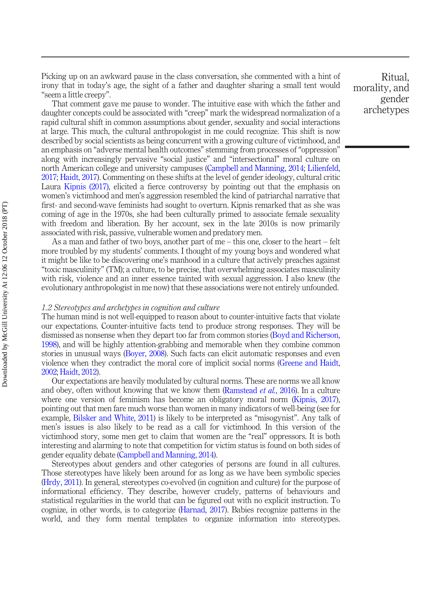Picking up on an awkward pause in the class conversation, she commented with a hint of irony that in today's age, the sight of a father and daughter sharing a small tent would "seem a little creepy".

That comment gave me pause to wonder. The intuitive ease with which the father and daughter concepts could be associated with "creep" mark the widespread normalization of a rapid cultural shift in common assumptions about gender, sexuality and social interactions at large. This much, the cultural anthropologist in me could recognize. This shift is now described by social scientists as being concurrent with a growing culture of victimhood, and an emphasis on "adverse mental health outcomes" stemming from processes of"oppression" along with increasingly pervasive "social justice" and "intersectional" moral culture on north American college and university campuses ([Campbell and Manning, 2014](#page-11-1); [Lilienfeld,](#page-12-1) [2017;](#page-12-1) [Haidt, 2017](#page-11-2)). Commenting on these shifts at the level of gender ideology, cultural critic Laura [Kipnis \(2017\),](#page-11-3) elicited a fierce controversy by pointing out that the emphasis on women's victimhood and men's aggression resembled the kind of patriarchal narrative that first- and second-wave feminists had sought to overturn. Kipnis remarked that as she was coming of age in the 1970s, she had been culturally primed to associate female sexuality with freedom and liberation. By her account, sex in the late 2010s is now primarily associated with risk, passive, vulnerable women and predatory men.

As a man and father of two boys, another part of me – this one, closer to the heart – felt more troubled by my students' comments. I thought of my young boys and wondered what it might be like to be discovering one's manhood in a culture that actively preaches against "toxic masculinity" (TM); a culture, to be precise, that overwhelming associates masculinity with risk, violence and an inner essence tainted with sexual aggression. I also knew (the evolutionary anthropologist in me now) that these associations were not entirely unfounded.

#### 1.2 Stereotypes and archetypes in cognition and culture

The human mind is not well-equipped to reason about to counter-intuitive facts that violate our expectations. Counter-intuitive facts tend to produce strong responses. They will be dismissed as nonsense when they depart too far from common stories ([Boyd and Richerson,](#page-10-3) [1998\)](#page-10-3), and will be highly attention-grabbing and memorable when they combine common stories in unusual ways [\(Boyer, 2008](#page-10-4)). Such facts can elicit automatic responses and even violence when they contradict the moral core of implicit social norms [\(Greene and Haidt,](#page-11-4) [2002;](#page-11-4) [Haidt, 2012\)](#page-11-5).

Our expectations are heavily modulated by cultural norms. These are norms we all know and obey, often without knowing that we know them ([Ramstead](#page-12-0) *et al.*, 2016). In a culture where one version of feminism has become an obligatory moral norm ([Kipnis, 2017\)](#page-11-3), pointing out that men fare much worse than women in many indicators of well-being (see for example, [Bilsker and White, 2011](#page-10-5)) is likely to be interpreted as "misogynist". Any talk of men's issues is also likely to be read as a call for victimhood. In this version of the victimhood story, some men get to claim that women are the "real" oppressors. It is both interesting and alarming to note that competition for victim status is found on both sides of gender equality debate ([Campbell and Manning, 2014](#page-11-1)).

Stereotypes about genders and other categories of persons are found in all cultures. Those stereotypes have likely been around for as long as we have been symbolic species [\(Hrdy, 2011\)](#page-11-6). In general, stereotypes co-evolved (in cognition and culture) for the purpose of informational efficiency. They describe, however crudely, patterns of behaviours and statistical regularities in the world that can be figured out with no explicit instruction. To cognize, in other words, is to categorize ([Harnad, 2017](#page-11-7)). Babies recognize patterns in the world, and they form mental templates to organize information into stereotypes.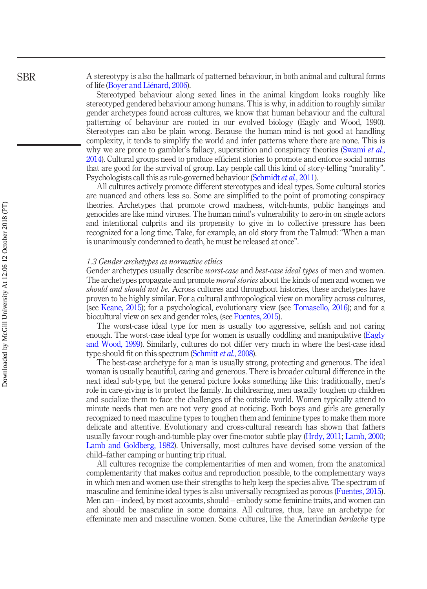A stereotypy is also the hallmark of patterned behaviour, in both animal and cultural forms of life [\(Boyer and Liénard, 2006](#page-11-8)).

Stereotyped behaviour along sexed lines in the animal kingdom looks roughly like stereotyped gendered behaviour among humans. This is why, in addition to roughly similar gender archetypes found across cultures, we know that human behaviour and the cultural patterning of behaviour are rooted in our evolved biology (Eagly and Wood, 1990). Stereotypes can also be plain wrong. Because the human mind is not good at handling complexity, it tends to simplify the world and infer patterns where there are none. This is why we are prone to gambler's fallacy, superstition and conspiracy theories [\(Swami](#page-13-5) *et al.*, [2014](#page-13-5)). Cultural groups need to produce efficient stories to promote and enforce social norms that are good for the survival of group. Lay people call this kind of story-telling "morality". Psychologists call this as rule-governed behaviour [\(Schmidt](#page-12-2) et al., 2011).

All cultures actively promote different stereotypes and ideal types. Some cultural stories are nuanced and others less so. Some are simplified to the point of promoting conspiracy theories. Archetypes that promote crowd madness, witch-hunts, public hangings and genocides are like mind viruses. The human mind's vulnerability to zero-in on single actors and intentional culprits and its propensity to give in to collective pressure has been recognized for a long time. Take, for example, an old story from the Talmud: "When a man is unanimously condemned to death, he must be released at once".

#### 1.3 Gender archetypes as normative ethics

Gender archetypes usually describe *worst-case* and *best-case ideal types* of men and women. The archetypes propagate and promote *moral stories* about the kinds of men and women we should and should not be. Across cultures and throughout histories, these archetypes have proven to be highly similar. For a cultural anthropological view on morality across cultures, (see [Keane, 2015](#page-11-9)); for a psychological, evolutionary view (see [Tomasello, 2016\)](#page-13-6); and for a biocultural view on sex and gender roles, (see [Fuentes, 2015\)](#page-11-10).

The worst-case ideal type for men is usually too aggressive, selfish and not caring enough. The worst-case ideal type for women is usually coddling and manipulative [\(Eagly](#page-11-11) [and Wood, 1999](#page-11-11)). Similarly, cultures do not differ very much in where the best-case ideal type should fit on this spectrum ([Schmitt](#page-12-3) *et al.*, 2008).

The best-case archetype for a man is usually strong, protecting and generous. The ideal woman is usually beautiful, caring and generous. There is broader cultural difference in the next ideal sub-type, but the general picture looks something like this: traditionally, men's role in care-giving is to protect the family. In childrearing, men usually toughen up children and socialize them to face the challenges of the outside world. Women typically attend to minute needs that men are not very good at noticing. Both boys and girls are generally recognized to need masculine types to toughen them and feminine types to make them more delicate and attentive. Evolutionary and cross-cultural research has shown that fathers usually favour rough-and-tumble play over fine-motor subtle play [\(Hrdy, 2011;](#page-11-6) [Lamb, 2000;](#page-12-4) [Lamb and Goldberg, 1982](#page-12-5)). Universally, most cultures have devised some version of the child–father camping or hunting trip ritual.

All cultures recognize the complementarities of men and women, from the anatomical complementarity that makes coitus and reproduction possible, to the complementary ways in which men and women use their strengths to help keep the species alive. The spectrum of masculine and feminine ideal types is also universally recognized as porous [\(Fuentes, 2015\)](#page-11-10). Men can – indeed, by most accounts, should – embody some feminine traits, and women can and should be masculine in some domains. All cultures, thus, have an archetype for effeminate men and masculine women. Some cultures, like the Amerindian berdache type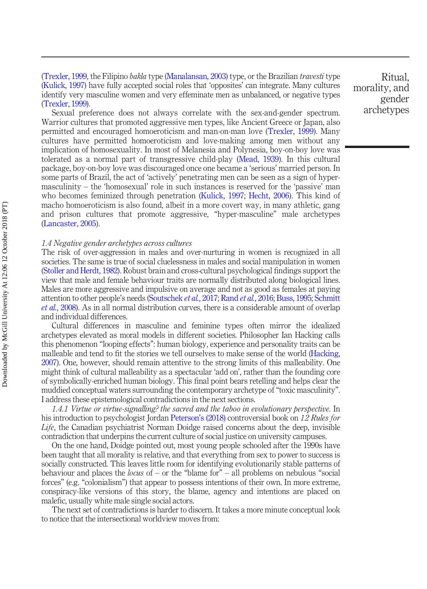[\(Trexler, 1999](#page-13-7), the Filipino *bakla* type ([Manalansan, 2003](#page-12-6)) type, or the Brazilian *travesti* type [\(Kulick, 1997](#page-12-7)) have fully accepted social roles that 'opposites' can integrate. Many cultures identify very masculine women and very effeminate men as unbalanced, or negative types [\(Trexler, 1999](#page-13-7)).

Sexual preference does not always correlate with the sex-and-gender spectrum. Warrior cultures that promoted aggressive men types, like Ancient Greece or Japan, also permitted and encouraged homoeroticism and man-on-man love [\(Trexler, 1999](#page-13-7)). Many cultures have permitted homoeroticism and love-making among men without any implication of homosexuality. In most of Melanesia and Polynesia, boy-on-boy love was tolerated as a normal part of transgressive child-play [\(Mead, 1939](#page-12-8)). In this cultural package, boy-on-boy love was discouraged once one became a 'serious' married person. In some parts of Brazil, the act of 'actively' penetrating men can be seen as a sign of hypermasculinity – the 'homosexual' role in such instances is reserved for the 'passive' man who becomes feminized through penetration [\(Kulick, 1997;](#page-12-7) [Hecht, 2006](#page-11-12)). This kind of macho homoeroticism is also found, albeit in a more covert way, in many athletic, gang and prison cultures that promote aggressive, "hyper-masculine" male archetypes [\(Lancaster, 2005](#page-12-9)).

#### 1.4 Negative gender archetypes across cultures

The risk of over-aggression in males and over-nurturing in women is recognized in all societies. The same is true of social cluelessness in males and social manipulation in women [\(Stoller and Herdt, 1982](#page-13-8)). Robust brain and cross-cultural psychological findings support the view that male and female behaviour traits are normally distributed along biological lines. Males are more aggressive and impulsive on average and not as good as females at paying attention to other people's needs [\(Soutschek](#page-12-10) et al., 2017; Rand et al.[, 2016;](#page-12-11) [Buss, 1995;](#page-11-13) [Schmitt](#page-12-3) et al.[, 2008\)](#page-12-3). As in all normal distribution curves, there is a considerable amount of overlap and individual differences.

Cultural differences in masculine and feminine types often mirror the idealized archetypes elevated as moral models in different societies. Philosopher Ian Hacking calls this phenomenon "looping effects": human biology, experience and personality traits can be malleable and tend to fit the stories we tell ourselves to make sense of the world [\(Hacking,](#page-11-14) [2007\)](#page-11-14). One, however, should remain attentive to the strong limits of this malleability. One might think of cultural malleability as a spectacular 'add on', rather than the founding core of symbolically-enriched human biology. This final point bears retelling and helps clear the muddied conceptual waters surrounding the contemporary archetype of "toxic masculinity". I address these epistemological contradictions in the next sections.

1.4.1 Virtue or virtue-signalling? the sacred and the taboo in evolutionary perspective. In his introduction to psychologist Jordan [Peterson](#page-12-12)'s (2018) controversial book on 12 Rules for Life, the Canadian psychiatrist Norman Doidge raised concerns about the deep, invisible contradiction that underpins the current culture of social justice on university campuses.

On the one hand, Doidge pointed out, most young people schooled after the 1990s have been taught that all morality is relative, and that everything from sex to power to success is socially constructed. This leaves little room for identifying evolutionarily stable patterns of behaviour and places the *locus* of – or the "blame for" – all problems on nebulous "social forces" (e.g. "colonialism") that appear to possess intentions of their own. In more extreme, conspiracy-like versions of this story, the blame, agency and intentions are placed on malefic, usually white male single social actors.

The next set of contradictions is harder to discern. It takes a more minute conceptual look to notice that the intersectional worldview moves from: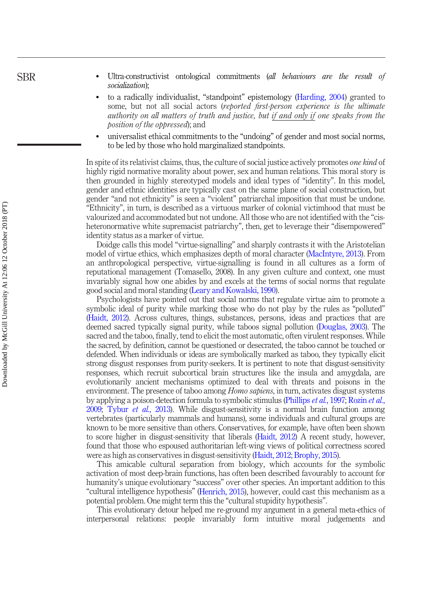- Ultra-constructivist ontological commitments (all behaviours are the result of socialization);
- to a radically individualist, "standpoint" epistemology [\(Harding, 2004](#page-11-15)) granted to some, but not all social actors (reported first-person experience is the ultimate authority on all matters of truth and justice, but if and only if one speaks from the position of the oppressed); and
- universalist ethical commitments to the "undoing" of gender and most social norms, to be led by those who hold marginalized standpoints.

In spite of its relativist claims, thus, the culture of social justice actively promotes *one kind* of highly rigid normative morality about power, sex and human relations. This moral story is then grounded in highly stereotyped models and ideal types of "identity". In this model, gender and ethnic identities are typically cast on the same plane of social construction, but gender "and not ethnicity" is seen a "violent" patriarchal imposition that must be undone. "Ethnicity", in turn, is described as a virtuous marker of colonial victimhood that must be valourized and accommodated but not undone. All those who are not identified with the "cisheteronormative white supremacist patriarchy", then, get to leverage their "disempowered" identity status as a marker of virtue.

Doidge calls this model "virtue-signalling" and sharply contrasts it with the Aristotelian model of virtue ethics, which emphasizes depth of moral character [\(MacIntyre, 2013\)](#page-12-13). From an anthropological perspective, virtue-signalling is found in all cultures as a form of reputational management (Tomasello, 2008). In any given culture and context, one must invariably signal how one abides by and excels at the terms of social norms that regulate good social and moral standing [\(Leary and Kowalski, 1990](#page-12-14)).

Psychologists have pointed out that social norms that regulate virtue aim to promote a symbolic ideal of purity while marking those who do not play by the rules as "polluted" [\(Haidt, 2012\)](#page-11-5). Across cultures, things, substances, persons, ideas and practices that are deemed sacred typically signal purity, while taboos signal pollution [\(Douglas, 2003](#page-11-16)). The sacred and the taboo, finally, tend to elicit the most automatic, often virulent responses. While the sacred, by definition, cannot be questioned or desecrated, the taboo cannot be touched or defended. When individuals or ideas are symbolically marked as taboo, they typically elicit strong disgust responses from purity-seekers. It is pertinent to note that disgust-sensitivity responses, which recruit subcortical brain structures like the insula and amygdala, are evolutionarily ancient mechanisms optimized to deal with threats and poisons in the environment. The presence of taboo among *Homo sapiens*, in turn, activates disgust systems by applying a poison-detection formula to symbolic stimulus [\(Phillips](#page-12-15) *et al.*, 1997; [Rozin](#page-12-16) *et al.*, [2009](#page-12-16); [Tybur](#page-13-9) et al., 2013). While disgust-sensitivity is a normal brain function among vertebrates (particularly mammals and humans), some individuals and cultural groups are known to be more sensitive than others. Conservatives, for example, have often been shown to score higher in disgust-sensitivity that liberals [\(Haidt, 2012](#page-11-5)) A recent study, however, found that those who espoused authoritarian left-wing views of political correctness scored were as high as conservatives in disgust-sensitivity [\(Haidt, 2012](#page-11-5); [Brophy, 2015](#page-11-17)).

This amicable cultural separation from biology, which accounts for the symbolic activation of most deep-brain functions, has often been described favourably to account for humanity's unique evolutionary "success" over other species. An important addition to this "cultural intelligence hypothesis" ([Henrich, 2015\)](#page-11-18), however, could cast this mechanism as a potential problem. One might term this the "cultural stupidity hypothesis".

This evolutionary detour helped me re-ground my argument in a general meta-ethics of interpersonal relations: people invariably form intuitive moral judgements and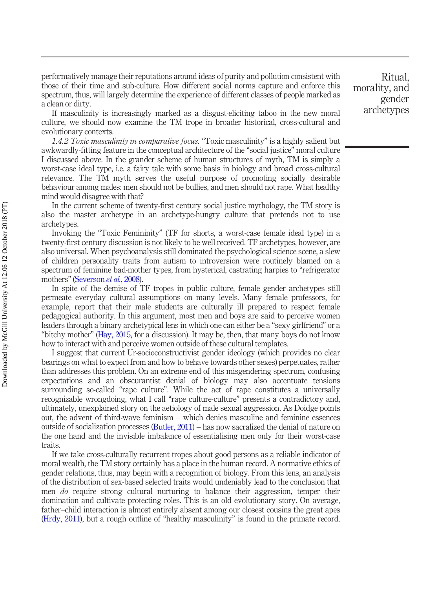performatively manage their reputations around ideas of purity and pollution consistent with those of their time and sub-culture. How different social norms capture and enforce this spectrum, thus, will largely determine the experience of different classes of people marked as a clean or dirty.

If masculinity is increasingly marked as a disgust-eliciting taboo in the new moral culture, we should now examine the TM trope in broader historical, cross-cultural and evolutionary contexts.

1.4.2 Toxic masculinity in comparative focus. "Toxic masculinity" is a highly salient but awkwardly-fitting feature in the conceptual architecture of the "social justice" moral culture I discussed above. In the grander scheme of human structures of myth, TM is simply a worst-case ideal type, i.e. a fairy tale with some basis in biology and broad cross-cultural relevance. The TM myth serves the useful purpose of promoting socially desirable behaviour among males: men should not be bullies, and men should not rape. What healthy mind would disagree with that?

In the current scheme of twenty-first century social justice mythology, the TM story is also the master archetype in an archetype-hungry culture that pretends not to use archetypes.

Invoking the "Toxic Femininity" (TF for shorts, a worst-case female ideal type) in a twenty-first century discussion is not likely to be well received. TF archetypes, however, are also universal. When psychoanalysis still dominated the psychological science scene, a slew of children personality traits from autism to introversion were routinely blamed on a spectrum of feminine bad-mother types, from hysterical, castrating harpies to "refrigerator mothers" ([Severson](#page-12-17) *et al.*, 2008).

In spite of the demise of TF tropes in public culture, female gender archetypes still permeate everyday cultural assumptions on many levels. Many female professors, for example, report that their male students are culturally ill prepared to respect female pedagogical authority. In this argument, most men and boys are said to perceive women leaders through a binary archetypical lens in which one can either be a "sexy girlfriend" or a "bitchy mother" [\(Hay, 2015,](#page-11-19) for a discussion). It may be, then, that many boys do not know how to interact with and perceive women outside of these cultural templates.

I suggest that current Ur-socioconstructivist gender ideology (which provides no clear bearings on what to expect from and how to behave towards other sexes) perpetuates, rather than addresses this problem. On an extreme end of this misgendering spectrum, confusing expectations and an obscurantist denial of biology may also accentuate tensions surrounding so-called "rape culture". While the act of rape constitutes a universally recognizable wrongdoing, what I call "rape culture-culture" presents a contradictory and, ultimately, unexplained story on the aetiology of male sexual aggression. As Doidge points out, the advent of third-wave feminism – which denies masculine and feminine essences outside of socialization processes  $(Butter, 2011)$  – has now sacralized the denial of nature on the one hand and the invisible imbalance of essentialising men only for their worst-case traits.

If we take cross-culturally recurrent tropes about good persons as a reliable indicator of moral wealth, the TM story certainly has a place in the human record. A normative ethics of gender relations, thus, may begin with a recognition of biology. From this lens, an analysis of the distribution of sex-based selected traits would undeniably lead to the conclusion that men do require strong cultural nurturing to balance their aggression, temper their domination and cultivate protecting roles. This is an old evolutionary story. On average, father–child interaction is almost entirely absent among our closest cousins the great apes [\(Hrdy, 2011\)](#page-11-6), but a rough outline of "healthy masculinity" is found in the primate record.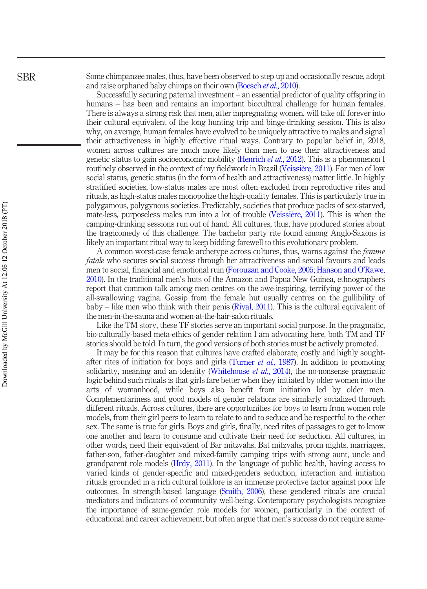Some chimpanzee males, thus, have been observed to step up and occasionally rescue, adopt and raise orphaned baby chimps on their own [\(Boesch](#page-10-6) et al., 2010).

Successfully securing paternal investment – an essential predictor of quality offspring in humans – has been and remains an important biocultural challenge for human females. There is always a strong risk that men, after impregnating women, will take off forever into their cultural equivalent of the long hunting trip and binge-drinking session. This is also why, on average, human females have evolved to be uniquely attractive to males and signal their attractiveness in highly effective ritual ways. Contrary to popular belief in, 2018, women across cultures are much more likely than men to use their attractiveness and genetic status to gain socioeconomic mobility ([Henrich](#page-11-21) et al., 2012). This is a phenomenon I routinely observed in the context of my fieldwork in Brazil [\(Veissière, 2011](#page-13-2)). For men of low social status, genetic status (in the form of health and attractiveness) matter little. In highly stratified societies, low-status males are most often excluded from reproductive rites and rituals, as high-status males monopolize the high-quality females. This is particularly true in polygamous, polygynous societies. Predictably, societies that produce packs of sex-starved, mate-less, purposeless males run into a lot of trouble [\(Veissière, 2011](#page-13-2)). This is when the camping-drinking sessions run out of hand. All cultures, thus, have produced stories about the tragicomedy of this challenge. The bachelor party rite found among Anglo-Saxons is likely an important ritual way to keep bidding farewell to this evolutionary problem.

A common worst-case female archetype across cultures, thus, warns against the femme fatale who secures social success through her attractiveness and sexual favours and leads men to social, financial and emotional ruin ([Forouzan and Cooke, 2005](#page-11-22); [Hanson and O](#page-11-23)'Rawe, [2010](#page-11-23)). In the traditional men's huts of the Amazon and Papua New Guinea, ethnographers report that common talk among men centres on the awe-inspiring, terrifying power of the all-swallowing vagina. Gossip from the female hut usually centres on the gullibility of baby – like men who think with their penis ([Rival, 2011\)](#page-12-18). This is the cultural equivalent of the men-in-the-sauna and women-at-the-hair-salon rituals.

Like the TM story, these TF stories serve an important social purpose. In the pragmatic, bio-culturally-based meta-ethics of gender relation I am advocating here, both TM and TF stories should be told. In turn, the good versions of both stories must be actively promoted.

It may be for this reason that cultures have crafted elaborate, costly and highly sought-after rites of initiation for boys and girls [\(Turner](#page-13-10) et al., 1987). In addition to promoting solidarity, meaning and an identity [\(Whitehouse](#page-13-11) *et al.*, 2014), the no-nonsense pragmatic logic behind such rituals is that girls fare better when they initiated by older women into the arts of womanhood, while boys also benefit from initiation led by older men. Complementariness and good models of gender relations are similarly socialized through different rituals. Across cultures, there are opportunities for boys to learn from women role models, from their girl peers to learn to relate to and to seduce and be respectful to the other sex. The same is true for girls. Boys and girls, finally, need rites of passages to get to know one another and learn to consume and cultivate their need for seduction. All cultures, in other words, need their equivalent of Bar mitzvahs, Bat mitzvahs, prom nights, marriages, father-son, father-daughter and mixed-family camping trips with strong aunt, uncle and grandparent role models [\(Hrdy, 2011\)](#page-11-6). In the language of public health, having access to varied kinds of gender-specific and mixed-genders seduction, interaction and initiation rituals grounded in a rich cultural folklore is an immense protective factor against poor life outcomes. In strength-based language [\(Smith, 2006\)](#page-12-19), these gendered rituals are crucial mediators and indicators of community well-being. Contemporary psychologists recognize the importance of same-gender role models for women, particularly in the context of educational and career achievement, but often argue that men's success do not require same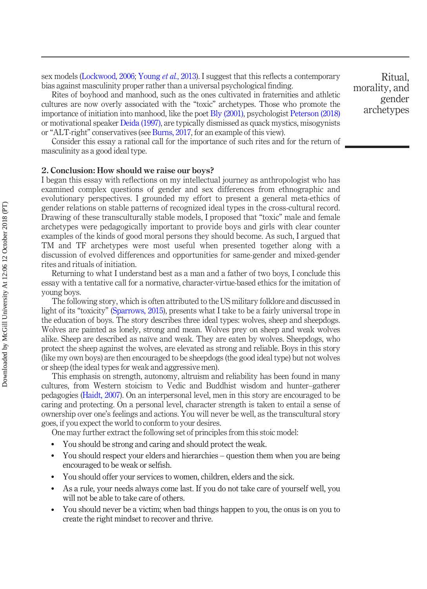sex models ([Lockwood, 2006;](#page-12-20) [Young](#page-13-12) et al., 2013). I suggest that this reflects a contemporary bias against masculinity proper rather than a universal psychological finding.

Rites of boyhood and manhood, such as the ones cultivated in fraternities and athletic cultures are now overly associated with the "toxic" archetypes. Those who promote the importance of initiation into manhood, like the poet [Bly \(2001\)](#page-10-7), psychologist [Peterson \(2018\)](#page-12-12) or motivational speaker [Deida \(1997\),](#page-11-24) are typically dismissed as quack mystics, misogynists or "ALT-right" conservatives (see [Burns, 2017,](#page-11-25) for an example of this view).

Consider this essay a rational call for the importance of such rites and for the return of masculinity as a good ideal type.

#### 2. Conclusion: How should we raise our boys?

I began this essay with reflections on my intellectual journey as anthropologist who has examined complex questions of gender and sex differences from ethnographic and evolutionary perspectives. I grounded my effort to present a general meta-ethics of gender relations on stable patterns of recognized ideal types in the cross-cultural record. Drawing of these transculturally stable models, I proposed that "toxic" male and female archetypes were pedagogically important to provide boys and girls with clear counter examples of the kinds of good moral persons they should become. As such, I argued that TM and TF archetypes were most useful when presented together along with a discussion of evolved differences and opportunities for same-gender and mixed-gender rites and rituals of initiation.

Returning to what I understand best as a man and a father of two boys, I conclude this essay with a tentative call for a normative, character-virtue-based ethics for the imitation of young boys.

The following story, which is often attributed to the US military folklore and discussed in light of its "toxicity" [\(Sparrows, 2015\)](#page-12-21), presents what I take to be a fairly universal trope in the education of boys. The story describes three ideal types: wolves, sheep and sheepdogs. Wolves are painted as lonely, strong and mean. Wolves prey on sheep and weak wolves alike. Sheep are described as naïve and weak. They are eaten by wolves. Sheepdogs, who protect the sheep against the wolves, are elevated as strong and reliable. Boys in this story (like my own boys) are then encouraged to be sheepdogs (the good ideal type) but not wolves or sheep (the ideal types for weak and aggressive men).

This emphasis on strength, autonomy, altruism and reliability has been found in many cultures, from Western stoicism to Vedic and Buddhist wisdom and hunter–gatherer pedagogies ([Haidt, 2007\)](#page-11-26). On an interpersonal level, men in this story are encouraged to be caring and protecting. On a personal level, character strength is taken to entail a sense of ownership over one's feelings and actions. You will never be well, as the transcultural story goes, if you expect the world to conform to your desires.

One may further extract the following set of principles from this stoic model:

- You should be strong and caring and should protect the weak.
- You should respect your elders and hierarchies question them when you are being encouraged to be weak or selfish.
- You should offer your services to women, children, elders and the sick.
- As a rule, your needs always come last. If you do not take care of yourself well, you will not be able to take care of others.
- You should never be a victim; when bad things happen to you, the onus is on you to create the right mindset to recover and thrive.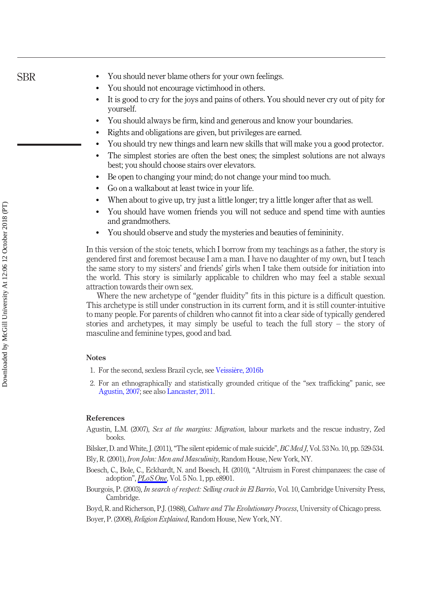### SBR

- You should never blame others for your own feelings.
- You should not encourage victimhood in others.
- It is good to cry for the joys and pains of others. You should never cry out of pity for yourself.
- You should always be firm, kind and generous and know your boundaries.
- Rights and obligations are given, but privileges are earned.
- You should try new things and learn new skills that will make you a good protector.
- The simplest stories are often the best ones; the simplest solutions are not always best; you should choose stairs over elevators.
- Be open to changing your mind; do not change your mind too much.
- Go on a walkabout at least twice in your life.
- When about to give up, try just a little longer; try a little longer after that as well.
- You should have women friends you will not seduce and spend time with aunties and grandmothers.
- You should observe and study the mysteries and beauties of femininity.

In this version of the stoic tenets, which I borrow from my teachings as a father, the story is gendered first and foremost because I am a man. I have no daughter of my own, but I teach the same story to my sisters' and friends' girls when I take them outside for initiation into the world. This story is similarly applicable to children who may feel a stable sexual attraction towards their own sex.

Where the new archetype of "gender fluidity" fits in this picture is a difficult question. This archetype is still under construction in its current form, and it is still counter-intuitive to many people. For parents of children who cannot fit into a clear side of typically gendered stories and archetypes, it may simply be useful to teach the full story – the story of masculine and feminine types, good and bad.

#### Notes

- <span id="page-10-1"></span>1. For the second, sexless Brazil cycle, see [Veissière, 2016b](#page-13-13)
- <span id="page-10-2"></span>2. For an ethnographically and statistically grounded critique of the "sex trafficking" panic, see [Agustin, 2007;](#page-10-8) see also [Lancaster, 2011.](#page-12-22)

#### References

<span id="page-10-8"></span>Agustin, L.M. (2007), Sex at the margins: Migration, labour markets and the rescue industry, Zed books.

<span id="page-10-5"></span>Bilsker, D. and White, J. (2011),"The silent epidemic of male suicide", BC Med J, Vol. 53 No. 10, pp. 529-534.

<span id="page-10-7"></span>Bly, R. (2001), Iron John: Men and Masculinity, Random House, New York, NY.

- <span id="page-10-6"></span>Boesch, C., Bole, C., Eckhardt, N. and Boesch, H. (2010), "Altruism in Forest chimpanzees: the case of adoption", [PLoS One](https://www.emeraldinsight.com/action/showLinks?doi=10.1108%2FSBR-07-2018-0070&crossref=10.1371%2Fjournal.pone.0008901&isi=000274114800011&citationId=p_4), Vol. 5 No. 1, pp. e8901.
- <span id="page-10-0"></span>Bourgois, P. (2003), In search of respect: Selling crack in El Barrio, Vol. 10, Cambridge University Press, Cambridge.

<span id="page-10-4"></span><span id="page-10-3"></span>Boyd, R. and Richerson, P.J. (1988), Culture and The Evolutionary Process, University of Chicago press. Boyer, P. (2008), Religion Explained, Random House, New York, NY.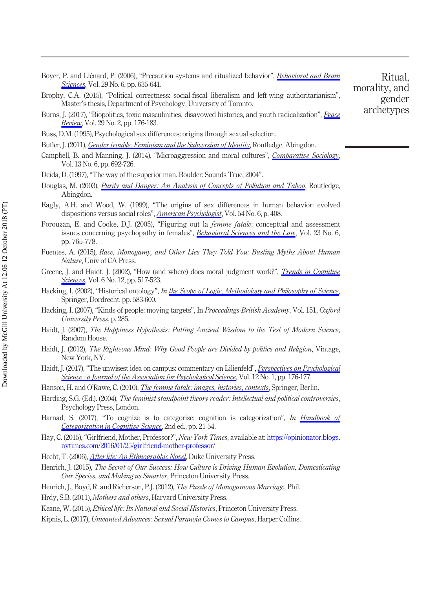<span id="page-11-8"></span>

| Boyer, P. and Liénard, P. (2006), "Precaution systems and ritualized behavior", <i>Behavioral and Brain</i><br><i>Sciences, Vol. 29 No. 6, pp. 635-641.</i> | Ritual,<br>morality, and<br>gender |
|-------------------------------------------------------------------------------------------------------------------------------------------------------------|------------------------------------|
| Brophy, C.A. (2015), "Political correctness: social-fiscal liberalism and left-wing authoritarianism",                                                      |                                    |
| Master's thesis, Department of Psychology, University of Toronto.                                                                                           |                                    |

archetypes

<span id="page-11-25"></span><span id="page-11-17"></span>Burns, J. (2017), "Biopolitics, toxic masculinities, disavowed histories, and youth radicalization", [Peace](https://www.emeraldinsight.com/action/showLinks?doi=10.1108%2FSBR-07-2018-0070&crossref=10.1080%2F10402659.2017.1308723&isi=000424223800006&citationId=p_10) *[Review](https://www.emeraldinsight.com/action/showLinks?doi=10.1108%2FSBR-07-2018-0070&crossref=10.1080%2F10402659.2017.1308723&isi=000424223800006&citationId=p_10)*, Vol. 29 No. 2, pp. 176-183.

<span id="page-11-20"></span>Butler, J. (2011), [Gender trouble: Feminism and the Subversion of Identity](https://www.emeraldinsight.com/action/showLinks?doi=10.1108%2FSBR-07-2018-0070&crossref=10.4324%2F9780203824979&citationId=p_12), Routledge, Abingdon.

- <span id="page-11-1"></span>Campbell, B. and Manning, J. (2014), "Microaggression and moral cultures", [Comparative Sociology](https://www.emeraldinsight.com/action/showLinks?doi=10.1108%2FSBR-07-2018-0070&crossref=10.1163%2F15691330-12341332&citationId=p_13), Vol. 13 No. 6, pp. 692-726.
- <span id="page-11-24"></span>Deida, D. (1997), "The way of the superior man. Boulder: Sounds True, 2004".
- <span id="page-11-16"></span>Douglas, M. (2003), *[Purity and Danger: An Analysis of Concepts of Pollution and Taboo](https://www.emeraldinsight.com/action/showLinks?doi=10.1108%2FSBR-07-2018-0070&crossref=10.4324%2F9780203361832&citationId=p_15)*, Routledge, Abingdon.
- <span id="page-11-11"></span>Eagly, A.H. and Wood, W. (1999), "The origins of sex differences in human behavior: evolved dispositions versus social roles", [American Psychologist](https://www.emeraldinsight.com/action/showLinks?doi=10.1108%2FSBR-07-2018-0070&crossref=10.1037%2F0003-066X.54.6.408&isi=000080977700002&citationId=p_16), Vol. 54 No. 6, p. 408.
- <span id="page-11-22"></span>Forouzan, E. and Cooke, D.J. (2005), "Figuring out la femme fatale: conceptual and assessment issues concerning psychopathy in females", *[Behavioral Sciences and the Law](https://www.emeraldinsight.com/action/showLinks?doi=10.1108%2FSBR-07-2018-0070&crossref=10.1002%2Fbsl.669&isi=000234574000003&citationId=p_17)*, Vol. 23 No. 6, pp. 765-778.
- <span id="page-11-10"></span>Fuentes, A. (2015), Race, Monogamy, and Other Lies They Told You: Busting Myths About Human Nature, Univ of CA Press.
- <span id="page-11-4"></span>Greene, J. and Haidt, J. (2002), "How (and where) does moral judgment work?", *[Trends in Cognitive](https://www.emeraldinsight.com/action/showLinks?doi=10.1108%2FSBR-07-2018-0070&crossref=10.1016%2FS1364-6613%2802%2902011-9&isi=000179610700014&citationId=p_19)* [Sciences](https://www.emeraldinsight.com/action/showLinks?doi=10.1108%2FSBR-07-2018-0070&crossref=10.1016%2FS1364-6613%2802%2902011-9&isi=000179610700014&citationId=p_19), Vol. 6 No. 12, pp. 517-523.
- <span id="page-11-0"></span>Hacking, I. (2002), "Historical ontology", In [the Scope of Logic, Methodology and Philosophy of Science](https://www.emeraldinsight.com/action/showLinks?doi=10.1108%2FSBR-07-2018-0070&crossref=10.1007%2F978-94-017-0475-5_13&citationId=p_20), Springer, Dordrecht, pp. 583-600.
- <span id="page-11-14"></span>Hacking, I. (2007), "Kinds of people: moving targets", In Proceedings-British Academy, Vol. 151, Oxford University Press, p. 285.
- <span id="page-11-26"></span>Haidt, J. (2007), The Happiness Hypothesis: Putting Ancient Wisdom to the Test of Modern Science, Random House.
- <span id="page-11-5"></span>Haidt, J. (2012), The Righteous Mind: Why Good People are Divided by politics and Religion, Vintage, New York, NY.
- <span id="page-11-2"></span>Haidt, J. (2017), "The unwisest idea on campus: commentary on Lilienfeld", *[Perspectives on Psychological](https://www.emeraldinsight.com/action/showLinks?doi=10.1108%2FSBR-07-2018-0070&crossref=10.1177%2F1745691616667050&citationId=p_24)* [Science : a Journal of the Association for Psychological Science](https://www.emeraldinsight.com/action/showLinks?doi=10.1108%2FSBR-07-2018-0070&crossref=10.1177%2F1745691616667050&citationId=p_24), Vol. 12 No. 1, pp. 176-177.
- <span id="page-11-23"></span>Hanson, H. and O'Rawe, C. (2010), *[The femme fatale: images, histories, contexts](https://www.emeraldinsight.com/action/showLinks?doi=10.1108%2FSBR-07-2018-0070&crossref=10.1057%2F9780230282018&citationId=p_25)*, Springer, Berlin.
- <span id="page-11-15"></span>Harding, S.G. (Ed.). (2004), The feminist standpoint theory reader: Intellectual and political controversies, Psychology Press, London.
- <span id="page-11-7"></span>Harnad, S. (2017), "To cognize is to categorize: cognition is categorization", In [Handbook of](https://www.emeraldinsight.com/action/showLinks?doi=10.1108%2FSBR-07-2018-0070&crossref=10.1016%2FB978-0-08-101107-2.00002-6&citationId=p_27) [Categorization in Cognitive Science](https://www.emeraldinsight.com/action/showLinks?doi=10.1108%2FSBR-07-2018-0070&crossref=10.1016%2FB978-0-08-101107-2.00002-6&citationId=p_27), 2nd ed., pp. 21-54.
- <span id="page-11-19"></span>Hay, C. (2015), "Girlfriend, Mother, Professor?", New York Times, available at: [https://opinionator.blogs.](https://opinionator.blogs.nytimes.com/2016/01/25/girlfriend-mother-professor/) [nytimes.com/2016/01/25/girlfriend-mother-professor/](https://opinionator.blogs.nytimes.com/2016/01/25/girlfriend-mother-professor/)
- <span id="page-11-12"></span>Hecht, T. (2006), *[After life: An Ethnographic Novel](https://www.emeraldinsight.com/action/showLinks?doi=10.1108%2FSBR-07-2018-0070&crossref=10.1215%2F9780822387725&citationId=p_29)*, Duke University Press.
- <span id="page-11-18"></span>Henrich, J. (2015), The Secret of Our Success: How Culture is Driving Human Evolution, Domesticating Our Species, and Making us Smarter, Princeton University Press.
- <span id="page-11-21"></span>Henrich, J., Boyd, R. and Richerson, P.J. (2012), The Puzzle of Monogamous Marriage, Phil.
- <span id="page-11-6"></span>Hrdy, S.B. (2011), Mothers and others, Harvard University Press.
- <span id="page-11-9"></span>Keane, W. (2015), *Ethical life: Its Natural and Social Histories*, Princeton University Press.
- <span id="page-11-3"></span>Kipnis, L. (2017), Unwanted Advances: Sexual Paranoia Comes to Campus, Harper Collins.

<span id="page-11-13"></span>Buss, D.M. (1995), Psychological sex differences: origins through sexual selection.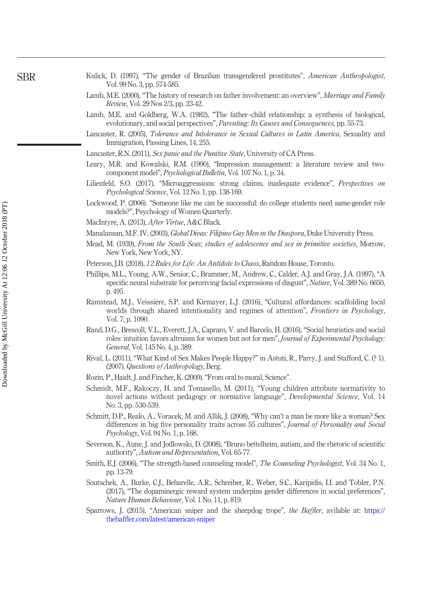- <span id="page-12-7"></span>Kulick, D. (1997), "The gender of Brazilian transgendered prostitutes", American Anthropologist, Vol. 99 No. 3, pp. 574-585.
- <span id="page-12-4"></span>Lamb, M.E. (2000), "The history of research on father involvement: an overview", *Marriage and Family* Review, Vol. 29 Nos 2/3, pp. 23-42.
- <span id="page-12-5"></span>Lamb, M.E. and Goldberg, W.A. (1982), "The father–child relationship: a synthesis of biological, evolutionary, and social perspectives", Parenting: Its Causes and Consequences, pp. 55-73.
- <span id="page-12-9"></span>Lancaster, R. (2005), Tolerance and Intolerance in Sexual Cultures in Latin America, Sexuality and Immigration, Passing Lines, 14, 255.
- <span id="page-12-22"></span>Lancaster, R.N. (2011), Sex panic and the Punitive State, University of CA Press.
- <span id="page-12-14"></span>Leary, M.R. and Kowalski, R.M. (1990), "Impression management: a literature review and twocomponent model", Psychological Bulletin, Vol. 107 No. 1, p. 34.
- <span id="page-12-1"></span>Lilienfeld, S.O. (2017), "Microaggressions: strong claims, inadequate evidence", Perspectives on Psychological Science, Vol. 12 No. 1, pp. 138-169.
- <span id="page-12-20"></span>Lockwood, P. (2006). "Someone like me can be successful: do college students need same-gender role models?", Psychology of Women Quarterly.
- <span id="page-12-13"></span>MacIntyre, A. (2013), After Virtue, A&C Black.
- <span id="page-12-6"></span>Manalansan, M.F. IV, (2003), Global Divas: Filipino Gay Men in the Diaspora, Duke University Press.
- <span id="page-12-8"></span>Mead, M. (1939), From the South Seas; studies of adolescence and sex in primitive societies, Morrow, New York, New York, NY.
- <span id="page-12-12"></span>Peterson, J.B. (2018), 12 Rules for Life: An Antidote to Chaos, Random House, Toronto.
- <span id="page-12-15"></span>Phillips, M.L., Young, A.W., Senior, C., Brammer, M., Andrew, C., Calder, A.J. and Gray, J.A. (1997), "A specific neural substrate for perceiving facial expressions of disgust", Nature, Vol. 389 No. 6650, p. 495.
- <span id="page-12-0"></span>Ramstead, M.J., Veissière, S.P. and Kirmayer, L.J. (2016), "Cultural affordances: scaffolding local worlds through shared intentionality and regimes of attention", Frontiers in Psychology, Vol. 7, p. 1090.
- <span id="page-12-11"></span>Rand, D.G., Brescoll, V.L., Everett, J.A., Capraro, V. and Barcelo, H. (2016), "Social heuristics and social roles: intuition favors altruism for women but not for men", Journal of Experimental Psychology: General, Vol. 145 No. 4, p. 389.
- <span id="page-12-18"></span>Rival, L. (2011), "What Kind of Sex Makes People Happy?" in Astuti, R., Parry, J. and Stafford, C. (? 1). (2007). Questions of Anthropology, Berg.
- <span id="page-12-16"></span>Rozin, P., Haidt, J. and Fincher, K. (2009)."From oral to moral, Science".
- <span id="page-12-2"></span>Schmidt, M.F., Rakoczy, H. and Tomasello, M. (2011), "Young children attribute normativity to novel actions without pedagogy or normative language", *Developmental Science*, Vol. 14 No. 3, pp. 530-539.
- <span id="page-12-3"></span>Schmitt, D.P., Realo, A., Voracek, M. and Allik, J. (2008), "Why can't a man be more like a woman? Sex differences in big five personality traits across 55 cultures", Journal of Personality and Social Psychology, Vol. 94 No. 1, p. 168.
- <span id="page-12-17"></span>Severson, K., Aune, J. and Jodlowski, D. (2008), "Bruno bettelheim, autism, and the rhetoric of scientific authority", Autism and Representation, Vol. 65-77.
- <span id="page-12-19"></span>Smith, E.J. (2006), "The strength-based counseling model", The Counseling Psychologist, Vol. 34 No. 1, pp. 13-79.
- <span id="page-12-10"></span>Soutschek, A., Burke, C.J., Beharelle, A.R., Schreiber, R., Weber, S.C., Karipidis, I.I. and Tobler, P.N. (2017), "The dopaminergic reward system underpins gender differences in social preferences", Nature Human Behaviour, Vol. 1 No. 11, p. 819.
- <span id="page-12-21"></span>Sparrows, J. (2015), "American sniper and the sheepdog trope", the Baffler, avilable at: [https://](https://thebaffler.com/latest/american-sniper) thebaffl[er.com/latest/american-sniper](https://thebaffler.com/latest/american-sniper)